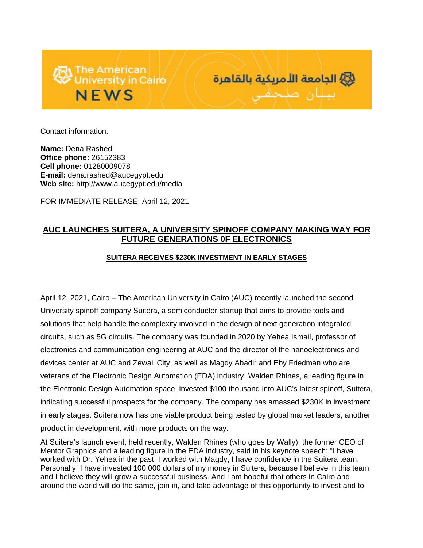



Contact information:

**Name:** Dena Rashed **Office phone:** 26152383 **Cell phone:** 01280009078 **E-mail:** dena.rashed@aucegypt.edu **Web site:** http://www.aucegypt.edu/media

FOR IMMEDIATE RELEASE: April 12, 2021

## **AUC LAUNCHES SUITERA, A UNIVERSITY SPINOFF COMPANY MAKING WAY FOR FUTURE GENERATIONS 0F ELECTRONICS**

## **SUITERA RECEIVES \$230K INVESTMENT IN EARLY STAGES**

April 12, 2021, Cairo – The American University in Cairo (AUC) recently launched the second University spinoff company Suitera, a semiconductor startup that aims to provide tools and solutions that help handle the complexity involved in the design of next generation integrated circuits, such as 5G circuits. The company was founded in 2020 by Yehea Ismail, professor of electronics and communication engineering at AUC and the director of the nanoelectronics and devices center at AUC and Zewail City, as well as Magdy Abadir and Eby Friedman who are veterans of the Electronic Design Automation (EDA) industry. Walden Rhines, a leading figure in the Electronic Design Automation space, invested \$100 thousand into AUC's latest spinoff, Suitera, indicating successful prospects for the company. The company has amassed \$230K in investment in early stages. Suitera now has one viable product being tested by global market leaders, another product in development, with more products on the way.

At Suitera's launch event, held recently, Walden Rhines (who goes by Wally), the former CEO of Mentor Graphics and a leading figure in the EDA industry, said in his keynote speech: "I have worked with Dr. Yehea in the past, I worked with Magdy, I have confidence in the Suitera team. Personally, I have invested 100,000 dollars of my money in Suitera, because I believe in this team, and I believe they will grow a successful business. And I am hopeful that others in Cairo and around the world will do the same, join in, and take advantage of this opportunity to invest and to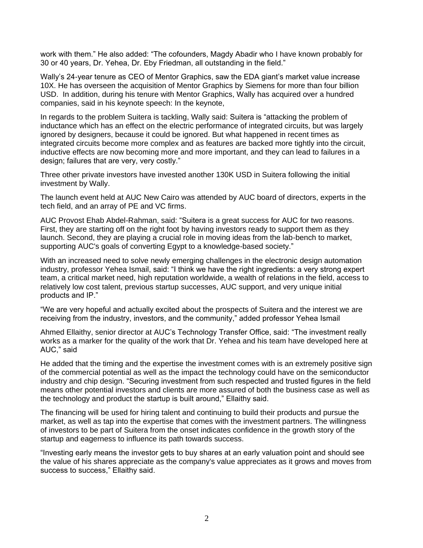work with them." He also added: "The cofounders, Magdy Abadir who I have known probably for 30 or 40 years, Dr. Yehea, Dr. Eby Friedman, all outstanding in the field."

Wally's 24-year tenure as CEO of Mentor Graphics, saw the EDA giant's market value increase 10X. He has overseen the acquisition of Mentor Graphics by Siemens for more than four billion USD. In addition, during his tenure with Mentor Graphics, Wally has acquired over a hundred companies, said in his keynote speech: In the keynote,

In regards to the problem Suitera is tackling, Wally said: Suitera is "attacking the problem of inductance which has an effect on the electric performance of integrated circuits, but was largely ignored by designers, because it could be ignored. But what happened in recent times as integrated circuits become more complex and as features are backed more tightly into the circuit, inductive effects are now becoming more and more important, and they can lead to failures in a design; failures that are very, very costly."

Three other private investors have invested another 130K USD in Suitera following the initial investment by Wally.

The launch event held at AUC New Cairo was attended by AUC board of directors, experts in the tech field, and an array of PE and VC firms.

AUC Provost Ehab Abdel-Rahman, said: "Suitera is a great success for AUC for two reasons. First, they are starting off on the right foot by having investors ready to support them as they launch. Second, they are playing a crucial role in moving ideas from the lab-bench to market, supporting AUC's goals of converting Egypt to a knowledge-based society."

With an increased need to solve newly emerging challenges in the electronic design automation industry, professor Yehea Ismail, said: "I think we have the right ingredients: a very strong expert team, a critical market need, high reputation worldwide, a wealth of relations in the field, access to relatively low cost talent, previous startup successes, AUC support, and very unique initial products and IP."

"We are very hopeful and actually excited about the prospects of Suitera and the interest we are receiving from the industry, investors, and the community," added professor Yehea Ismail

Ahmed Ellaithy, senior director at AUC's Technology Transfer Office, said: "The investment really works as a marker for the quality of the work that Dr. Yehea and his team have developed here at AUC," said

He added that the timing and the expertise the investment comes with is an extremely positive sign of the commercial potential as well as the impact the technology could have on the semiconductor industry and chip design. "Securing investment from such respected and trusted figures in the field means other potential investors and clients are more assured of both the business case as well as the technology and product the startup is built around," Ellaithy said.

The financing will be used for hiring talent and continuing to build their products and pursue the market, as well as tap into the expertise that comes with the investment partners. The willingness of investors to be part of Suitera from the onset indicates confidence in the growth story of the startup and eagerness to influence its path towards success.

"Investing early means the investor gets to buy shares at an early valuation point and should see the value of his shares appreciate as the company's value appreciates as it grows and moves from success to success," Ellaithy said.